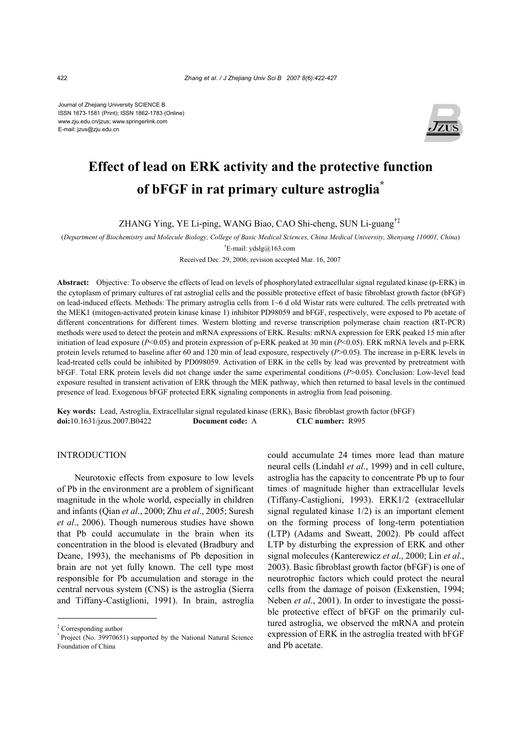Journal of Zhejiang University SCIENCE B ISSN 1673-1581 (Print); ISSN 1862-1783 (Online) www.zju.edu.cn/jzus; www.springerlink.com E-mail: jzus@zju.edu.cn



# **Effect of lead on ERK activity and the protective function of bFGF in rat primary culture astroglia\***

ZHANG Ying, YE Li-ping, WANG Biao, CAO Shi-cheng, SUN Li-guang†‡

(*Department of Biochemistry and Molecule Biology, College of Basic Medical Sciences, China Medical University, Shenyang 110001, China*)

† E-mail: ydslg@163.com

Received Dec. 29, 2006; revision accepted Mar. 16, 2007

**Abstract:** Objective: To observe the effects of lead on levels of phosphorylated extracellular signal regulated kinase (p-ERK) in the cytoplasm of primary cultures of rat astroglial cells and the possible protective effect of basic fibroblast growth factor (bFGF) on lead-induced effects. Methods: The primary astroglia cells from 1~6 d old Wistar rats were cultured. The cells pretreated with the MEK1 (mitogen-activated protein kinase kinase 1) inhibitor PD98059 and bFGF, respectively, were exposed to Pb acetate of different concentrations for different times. Western blotting and reverse transcription polymerase chain reaction (RT-PCR) methods were used to detect the protein and mRNA expressions of ERK. Results: mRNA expression for ERK peaked 15 min after initiation of lead exposure (*P*<0.05) and protein expression of p-ERK peaked at 30 min (*P*<0.05). ERK mRNA levels and p-ERK protein levels returned to baseline after 60 and 120 min of lead exposure, respectively (*P*>0.05). The increase in p-ERK levels in lead-treated cells could be inhibited by PD098059. Activation of ERK in the cells by lead was prevented by pretreatment with bFGF. Total ERK protein levels did not change under the same experimental conditions (*P*>0.05). Conclusion: Low-level lead exposure resulted in transient activation of ERK through the MEK pathway, which then returned to basal levels in the continued presence of lead. Exogenous bFGF protected ERK signaling components in astroglia from lead poisoning.

**Key words:** Lead, Astroglia, Extracellular signal regulated kinase (ERK), Basic fibroblast growth factor (bFGF) **doi:**10.1631/jzus.2007.B0422 **Document code:** A **CLC number:** R995

# **INTRODUCTION**

Neurotoxic effects from exposure to low levels of Pb in the environment are a problem of significant magnitude in the whole world, especially in children and infants (Qian *et al*., 2000; Zhu *et al*., 2005; Suresh *et al*., 2006). Though numerous studies have shown that Pb could accumulate in the brain when its concentration in the blood is elevated (Bradbury and Deane, 1993), the mechanisms of Pb deposition in brain are not yet fully known. The cell type most responsible for Pb accumulation and storage in the central nervous system (CNS) is the astroglia (Sierra and Tiffany-Castiglioni, 1991). In brain, astroglia

could accumulate 24 times more lead than mature neural cells (Lindahl *et al*., 1999) and in cell culture, astroglia has the capacity to concentrate Pb up to four times of magnitude higher than extracellular levels (Tiffany-Castiglioni, 1993). ERK1/2 (extracellular signal regulated kinase 1/2) is an important element on the forming process of long-term potentiation (LTP) (Adams and Sweatt, 2002). Pb could affect LTP by disturbing the expression of ERK and other signal molecules (Kanterewicz *et al*., 2000; Lin *et al*., 2003). Basic fibroblast growth factor (bFGF) is one of neurotrophic factors which could protect the neural cells from the damage of poison (Exkenstien, 1994; Neben *et al*., 2001). In order to investigate the possible protective effect of bFGF on the primarily cultured astroglia, we observed the mRNA and protein expression of ERK in the astroglia treated with bFGF and Pb acetate.

<sup>‡</sup> Corresponding author

<sup>\*</sup> Project (No. 39970651) supported by the National Natural Science Foundation of China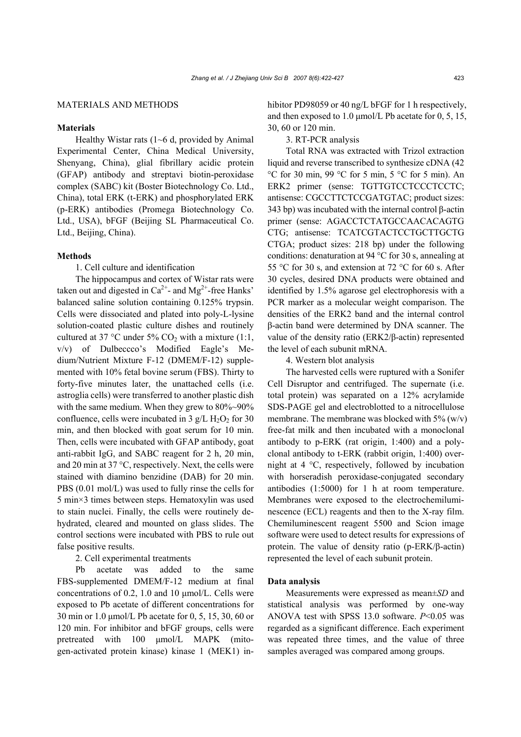## MATERIALS AND METHODS

## **Materials**

Healthy Wistar rats  $(1~6~d,$  provided by Animal Experimental Center, China Medical University, Shenyang, China), glial fibrillary acidic protein (GFAP) antibody and streptavi biotin-peroxidase complex (SABC) kit (Boster Biotechnology Co. Ltd., China), total ERK (t-ERK) and phosphorylated ERK (p-ERK) antibodies (Promega Biotechnology Co. Ltd., USA), bFGF (Beijing SL Pharmaceutical Co. Ltd., Beijing, China).

## **Methods**

1. Cell culture and identification

The hippocampus and cortex of Wistar rats were taken out and digested in  $Ca^{2+}$ - and Mg<sup>2+</sup>-free Hanks' balanced saline solution containing 0.125% trypsin. Cells were dissociated and plated into poly-L-lysine solution-coated plastic culture dishes and routinely cultured at 37 °C under 5%  $CO<sub>2</sub>$  with a mixture (1:1, v/v) of Dulbeccco's Modified Eagle's Medium/Nutrient Mixture F-12 (DMEM/F-12) supplemented with 10% fetal bovine serum (FBS). Thirty to forty-five minutes later, the unattached cells (i.e. astroglia cells) were transferred to another plastic dish with the same medium. When they grew to  $80\%~90\%$ confluence, cells were incubated in  $3 \text{ g/L H}_2\text{O}_2$  for  $30$ min, and then blocked with goat serum for 10 min. Then, cells were incubated with GFAP antibody, goat anti-rabbit IgG, and SABC reagent for 2 h, 20 min, and 20 min at 37 °C, respectively. Next, the cells were stained with diamino benzidine (DAB) for 20 min. PBS (0.01 mol/L) was used to fully rinse the cells for 5 min×3 times between steps. Hematoxylin was used to stain nuclei. Finally, the cells were routinely dehydrated, cleared and mounted on glass slides. The control sections were incubated with PBS to rule out false positive results.

2. Cell experimental treatments

Pb acetate was added to the same FBS-supplemented DMEM/F-12 medium at final concentrations of 0.2, 1.0 and 10 µmol/L. Cells were exposed to Pb acetate of different concentrations for 30 min or 1.0 µmol/L Pb acetate for 0, 5, 15, 30, 60 or 120 min. For inhibitor and bFGF groups, cells were pretreated with 100 µmol/L MAPK (mitogen-activated protein kinase) kinase 1 (MEK1) inhibitor PD98059 or 40 ng/L bFGF for 1 h respectively, and then exposed to  $1.0 \mu$ mol/L Pb acetate for 0, 5, 15, 30, 60 or 120 min.

## 3. RT-PCR analysis

Total RNA was extracted with Trizol extraction liquid and reverse transcribed to synthesize cDNA (42 °C for 30 min, 99 °C for 5 min, 5 °C for 5 min). An ERK2 primer (sense: TGTTGTCCTCCCTCCTC; antisense: CGCCTTCTCCGATGTAC; product sizes: 343 bp) was incubated with the internal control β-actin primer (sense: AGACCTCTATGCCAACACAGTG CTG; antisense: TCATCGTACTCCTGCTTGCTG CTGA; product sizes: 218 bp) under the following conditions: denaturation at 94 °C for 30 s, annealing at 55 °C for 30 s, and extension at 72 °C for 60 s. After 30 cycles, desired DNA products were obtained and identified by 1.5% agarose gel electrophoresis with a PCR marker as a molecular weight comparison. The densities of the ERK2 band and the internal control β-actin band were determined by DNA scanner. The value of the density ratio (ERK2/β-actin) represented the level of each subunit mRNA.

4. Western blot analysis

The harvested cells were ruptured with a Sonifer Cell Disruptor and centrifuged. The supernate (i.e. total protein) was separated on a 12% acrylamide SDS-PAGE gel and electroblotted to a nitrocellulose membrane. The membrane was blocked with  $5\%$  (w/v) free-fat milk and then incubated with a monoclonal antibody to p-ERK (rat origin, 1:400) and a polyclonal antibody to t-ERK (rabbit origin, 1:400) overnight at 4 °C, respectively, followed by incubation with horseradish peroxidase-conjugated secondary antibodies (1:5000) for 1 h at room temperature. Membranes were exposed to the electrochemiluminescence (ECL) reagents and then to the X-ray film. Chemiluminescent reagent 5500 and Scion image software were used to detect results for expressions of protein. The value of density ratio (p-ERK/β-actin) represented the level of each subunit protein.

#### **Data analysis**

Measurements were expressed as mean±*SD* and statistical analysis was performed by one-way ANOVA test with SPSS 13.0 software. *P*<0.05 was regarded as a significant difference. Each experiment was repeated three times, and the value of three samples averaged was compared among groups.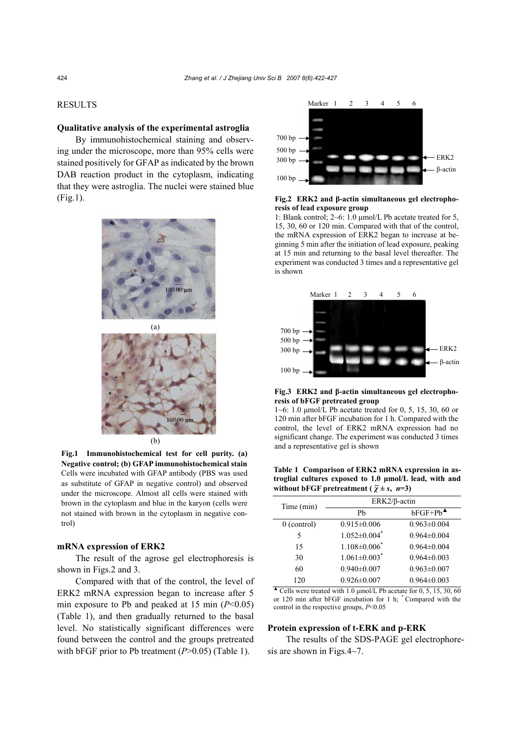# **RESULTS**

# **Qualitative analysis of the experimental astroglia**

By immunohistochemical staining and observing under the microscope, more than 95% cells were stained positively for GFAP as indicated by the brown DAB reaction product in the cytoplasm, indicating that they were astroglia. The nuclei were stained blue (Fig.1).





**Fig.1 Immunohistochemical test for cell purity. (a) Negative control; (b) GFAP immunohistochemical stain** Cells were incubated with GFAP antibody (PBS was used as substitute of GFAP in negative control) and observed under the microscope. Almost all cells were stained with brown in the cytoplasm and blue in the karyon (cells were not stained with brown in the cytoplasm in negative control)

## **mRNA expression of ERK2**

The result of the agrose gel electrophoresis is shown in Figs.2 and 3.

Compared with that of the control, the level of ERK2 mRNA expression began to increase after 5 min exposure to Pb and peaked at  $15 \text{ min } (P<0.05)$ (Table 1), and then gradually returned to the basal level. No statistically significant differences were found between the control and the groups pretreated with bFGF prior to Pb treatment ( $P > 0.05$ ) (Table 1).



#### **Fig.2 ERK2 and β-actin simultaneous gel electrophoresis of lead exposure group**

1: Blank control; 2~6: 1.0 µmol/L Pb acetate treated for 5, 15, 30, 60 or 120 min. Compared with that of the control, the mRNA expression of ERK2 began to increase at beginning 5 min after the initiation of lead exposure, peaking at 15 min and returning to the basal level thereafter. The experiment was conducted 3 times and a representative gel is shown



### **Fig.3 ERK2 and β-actin simultaneous gel electrophoresis of bFGF pretreated group**

1~6: 1.0 µmol/L Pb acetate treated for 0, 5, 15, 30, 60 or 120 min after bFGF incubation for 1 h. Compared with the control, the level of ERK2 mRNA expression had no significant change. The experiment was conducted 3 times and a representative gel is shown

**Table 1 Comparison of ERK2 mRNA expression in astroglial cultures exposed to 1.0 µmol/L lead, with and without bFGF pretreatment (** $\overline{\chi}$  $\pm$ *s***,** *n***=3)** 

| Time (min)    | $ERK2/\beta$ -actin            |                         |  |
|---------------|--------------------------------|-------------------------|--|
|               | Ph                             | $bf G$ F+Pb $\triangle$ |  |
| $0$ (control) | $0.915 \pm 0.006$              | $0.963 \pm 0.004$       |  |
| 5             | $1.052 \pm 0.004$ <sup>*</sup> | $0.964\pm0.004$         |  |
| 15            | $1.108 \pm 0.006$ <sup>*</sup> | $0.964\pm0.004$         |  |
| 30            | $1.061 \pm 0.003$ <sup>*</sup> | $0.964\pm0.003$         |  |
| 60            | $0.940\pm0.007$                | $0.963 \pm 0.007$       |  |
| 120           | $0.926 \pm 0.007$              | $0.964\pm0.003$         |  |

 $\triangle$  Cells were treated with 1.0 µmol/L Pb acetate for 0, 5, 15, 30, 60 or 120 min after bFGF incubation for 1 h; \* Compared with the control in the respective groups, *P*<0.05

### **Protein expression of t-ERK and p-ERK**

The results of the SDS-PAGE gel electrophoresis are shown in Figs.4~7.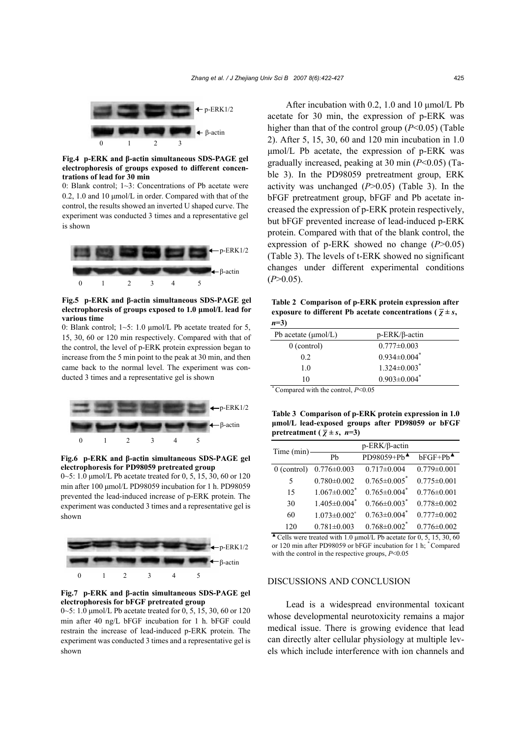

**Fig.4 p-ERK and β-actin simultaneous SDS-PAGE gel electrophoresis of groups exposed to different concentrations of lead for 30 min** 

0: Blank control; 1~3: Concentrations of Pb acetate were 0.2, 1.0 and 10 µmol/L in order. Compared with that of the control, the results showed an inverted U shaped curve. The experiment was conducted 3 times and a representative gel is shown



**Fig.5 p-ERK and β-actin simultaneous SDS-PAGE gel electrophoresis of groups exposed to 1.0 µmol/L lead for various time** 

0: Blank control;  $1~5$ : 1.0  $\mu$ mol/L Pb acetate treated for 5, 15, 30, 60 or 120 min respectively. Compared with that of the control, the level of p-ERK protein expression began to increase from the 5 min point to the peak at 30 min, and then came back to the normal level. The experiment was conducted 3 times and a representative gel is shown



**Fig.6 p-ERK and β-actin simultaneous SDS-PAGE gel electrophoresis for PD98059 pretreated group**  0~5: 1.0 µmol/L Pb acetate treated for 0, 5, 15, 30, 60 or 120 min after 100 µmol/L PD98059 incubation for 1 h. PD98059 prevented the lead-induced increase of p-ERK protein. The experiment was conducted 3 times and a representative gel is shown



**Fig.7 p-ERK and β-actin simultaneous SDS-PAGE gel electrophoresis for bFGF pretreated group** 

0~5: 1.0 µmol/L Pb acetate treated for 0, 5, 15, 30, 60 or 120 min after 40 ng/L bFGF incubation for 1 h. bFGF could restrain the increase of lead-induced p-ERK protein. The experiment was conducted 3 times and a representative gel is shown

After incubation with 0.2, 1.0 and 10  $\mu$ mol/L Pb acetate for 30 min, the expression of p-ERK was higher than that of the control group (*P*<0.05) (Table 2). After 5, 15, 30, 60 and 120 min incubation in 1.0 µmol/L Pb acetate, the expression of p-ERK was gradually increased, peaking at 30 min (*P*<0.05) (Table 3). In the PD98059 pretreatment group, ERK activity was unchanged (*P*>0.05) (Table 3). In the bFGF pretreatment group, bFGF and Pb acetate increased the expression of p-ERK protein respectively, but bFGF prevented increase of lead-induced p-ERK protein. Compared with that of the blank control, the expression of p-ERK showed no change (*P*>0.05) (Table 3). The levels of t-ERK showed no significant changes under different experimental conditions  $(P>0.05)$ .

**Table 2 Comparison of p-ERK protein expression after exposure to different Pb acetate concentrations (** $\overline{\gamma} \pm s$ **,** *n***=3)** 

| Pb acetate $(\mu mol/L)$                                 | $p$ -ERK/ $\beta$ -actin       |
|----------------------------------------------------------|--------------------------------|
| $0$ (control)                                            | $0.777 \pm 0.003$              |
| 0.2                                                      | $0.934 \pm 0.004$ <sup>*</sup> |
| 10                                                       | $1.324 \pm 0.003$ <sup>*</sup> |
| 10                                                       | $0.903 \pm 0.004$ <sup>*</sup> |
| $\overline{C_{\text{compared with the control}} D A 05}$ |                                |

Compared with the control, *P*<0.05

**Table 3 Comparison of p-ERK protein expression in 1.0 µmol/L lead-exposed groups after PD98059 or bFGF pretreatment** ( $\bar{\chi} \pm s$ ,  $n=3$ )

| Time (min)    |                                | p-ERK/β-actin                                  |                         |
|---------------|--------------------------------|------------------------------------------------|-------------------------|
|               | Ph                             | $PD98059+Pb$ <sup><math>\triangle</math></sup> | $bf G$ F+Pb $\triangle$ |
| $0$ (control) | $0.776 \pm 0.003$              | $0.717 \pm 0.004$                              | $0.779 \pm 0.001$       |
| 5             | $0.780 \pm 0.002$              | $0.765 \pm 0.005$                              | $0.775 \pm 0.001$       |
| 15            | $1.067 \pm 0.002$ <sup>*</sup> | $0.765 \pm 0.004$ <sup>*</sup>                 | $0.776 \pm 0.001$       |
| 30            | $1.405 \pm 0.004$ <sup>*</sup> | $0.766 \pm 0.003$ <sup>*</sup>                 | $0.778 \pm 0.002$       |
| 60            | $1.073 \pm 0.002$ *            | $0.763 \pm 0.004$ <sup>*</sup>                 | $0.777 \pm 0.002$       |
| 120           | $0.781 \pm 0.003$              | $0.768 \pm 0.002$ <sup>*</sup>                 | $0.776 \pm 0.002$       |

 $\triangle$  Cells were treated with 1.0 µmol/L Pb acetate for 0, 5, 15, 30, 60 or 120 min after PD98059 or bFGF incubation for 1 h; \* Compared with the control in the respective groups, *P*<0.05

## DISCUSSIONS AND CONCLUSION

Lead is a widespread environmental toxicant whose developmental neurotoxicity remains a major medical issue. There is growing evidence that lead can directly alter cellular physiology at multiple levels which include interference with ion channels and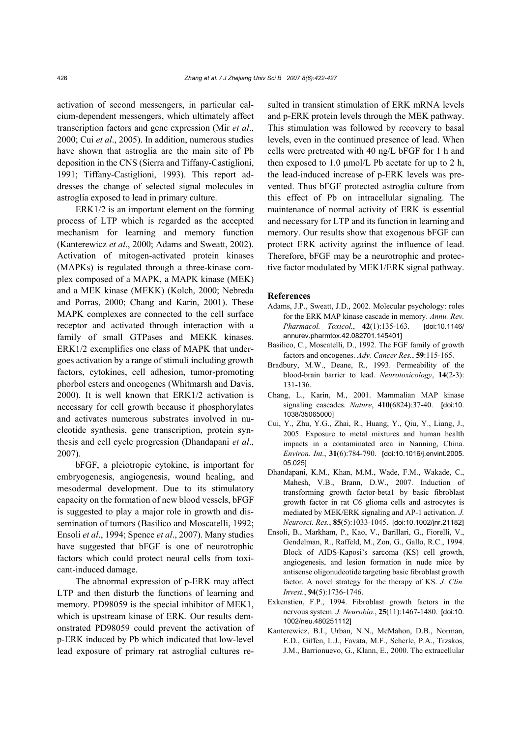activation of second messengers, in particular calcium-dependent messengers, which ultimately affect transcription factors and gene expression (Mir *et al*., 2000; Cui *et al*., 2005). In addition, numerous studies have shown that astroglia are the main site of Pb deposition in the CNS (Sierra and Tiffany-Castiglioni, 1991; Tiffany-Castiglioni, 1993). This report addresses the change of selected signal molecules in astroglia exposed to lead in primary culture.

ERK1/2 is an important element on the forming process of LTP which is regarded as the accepted mechanism for learning and memory function (Kanterewicz *et al*., 2000; Adams and Sweatt, 2002). Activation of mitogen-activated protein kinases (MAPKs) is regulated through a three-kinase complex composed of a MAPK, a MAPK kinase (MEK) and a MEK kinase (MEKK) (Kolch, 2000; Nebreda and Porras, 2000; Chang and Karin, 2001). These MAPK complexes are connected to the cell surface receptor and activated through interaction with a family of small GTPases and MEKK kinases. ERK1/2 exemplifies one class of MAPK that undergoes activation by a range of stimuli including growth factors, cytokines, cell adhesion, tumor-promoting phorbol esters and oncogenes (Whitmarsh and Davis, 2000). It is well known that ERK1/2 activation is necessary for cell growth because it phosphorylates and activates numerous substrates involved in nucleotide synthesis, gene transcription, protein synthesis and cell cycle progression (Dhandapani *et al*., 2007).

bFGF, a pleiotropic cytokine, is important for embryogenesis, angiogenesis, wound healing, and mesodermal development. Due to its stimulatory capacity on the formation of new blood vessels, bFGF is suggested to play a major role in growth and dissemination of tumors (Basilico and Moscatelli, 1992; Ensoli *et al*., 1994; Spence *et al*., 2007). Many studies have suggested that bFGF is one of neurotrophic factors which could protect neural cells from toxicant-induced damage.

The abnormal expression of p-ERK may affect LTP and then disturb the functions of learning and memory. PD98059 is the special inhibitor of MEK1, which is upstream kinase of ERK. Our results demonstrated PD98059 could prevent the activation of p-ERK induced by Pb which indicated that low-level lead exposure of primary rat astroglial cultures resulted in transient stimulation of ERK mRNA levels and p-ERK protein levels through the MEK pathway. This stimulation was followed by recovery to basal levels, even in the continued presence of lead. When cells were pretreated with 40 ng/L bFGF for 1 h and then exposed to  $1.0 \text{ \mu}$  umol/L Pb acetate for up to 2 h, the lead-induced increase of p-ERK levels was prevented. Thus bFGF protected astroglia culture from this effect of Pb on intracellular signaling. The maintenance of normal activity of ERK is essential and necessary for LTP and its function in learning and memory. Our results show that exogenous bFGF can protect ERK activity against the influence of lead. Therefore, bFGF may be a neurotrophic and protective factor modulated by MEK1/ERK signal pathway.

### **References**

- Adams, J.P., Sweatt, J.D., 2002. Molecular psychology: roles for the ERK MAP kinase cascade in memory. *Annu. Rev. Pharmacol. Toxicol.*, **42**(1):135-163. [doi:10.1146/ annurev.pharmtox.42.082701.145401]
- Basilico, C., Moscatelli, D., 1992. The FGF family of growth factors and oncogenes. *Adv. Cancer Res.*, **59**:115-165.
- Bradbury, M.W., Deane, R., 1993. Permeability of the blood-brain barrier to lead. *Neurotoxicology*, **14**(2-3): 131-136.
- Chang, L., Karin, M., 2001. Mammalian MAP kinase signaling cascades. *Nature*, **410**(6824):37-40. [doi:10. 1038/35065000]
- Cui, Y., Zhu, Y.G., Zhai, R., Huang, Y., Qiu, Y., Liang, J., 2005. Exposure to metal mixtures and human health impacts in a contaminated area in Nanning, China. *Environ. Int.*, **31**(6):784-790. [doi:10.1016/j.envint.2005. 05.025]
- Dhandapani, K.M., Khan, M.M., Wade, F.M., Wakade, C., Mahesh, V.B., Brann, D.W., 2007. Induction of transforming growth factor-beta1 by basic fibroblast growth factor in rat C6 glioma cells and astrocytes is mediated by MEK/ERK signaling and AP-1 activation. *J. Neurosci. Res.*, **85**(5):1033-1045. [doi:10.1002/jnr.21182]
- Ensoli, B., Markham, P., Kao, V., Barillari, G., Fiorelli, V., Gendelman, R., Raffeld, M., Zon, G., Gallo, R.C., 1994. Block of AIDS-Kaposi's sarcoma (KS) cell growth, angiogenesis, and lesion formation in nude mice by antisense oligonudeotide targeting basic fibroblast growth factor. A novel strategy for the therapy of KS. *J. Clin. Invest.*, **94**(5):1736-1746.
- Exkenstien, F.P., 1994. Fibroblast growth factors in the nervous system. *J. Neurobio.*, **25**(11):1467-1480. [doi:10. 1002/neu.480251112]
- Kanterewicz, B.I., Urban, N.N., McMahon, D.B., Norman, E.D., Giffen, L.J., Favata, M.F., Scherle, P.A., Trzskos, J.M., Barrionuevo, G., Klann, E., 2000. The extracellular